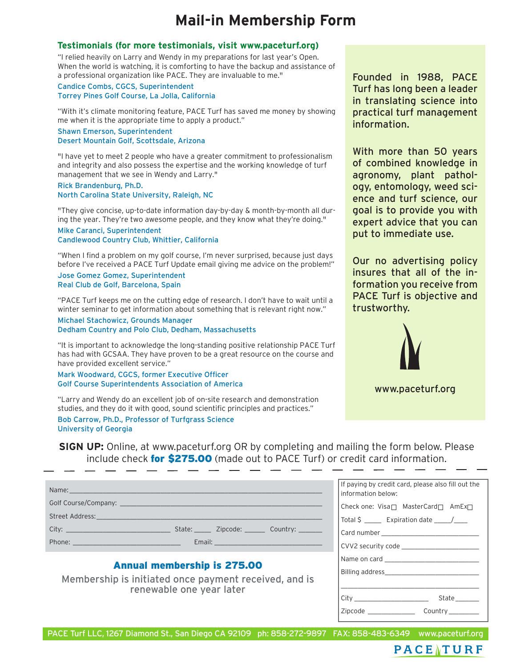# **Mail-in Membership Form**

#### **Testimonials (for more testimonials, visit www.paceturf.org)**

"I relied heavily on Larry and Wendy in my preparations for last year's Open. When the world is watching, it is comforting to have the backup and assistance of a professional organization like PACE. They are invaluable to me."

Candice Combs, CGCS, Superintendent Torrey Pines Golf Course, La Jolla, California

"With it's climate monitoring feature, PACE Turf has saved me money by showing me when it is the appropriate time to apply a product."

Shawn Emerson, Superintendent Desert Mountain Golf, Scottsdale, Arizona

"I have yet to meet 2 people who have a greater commitment to professionalism and integrity and also possess the expertise and the working knowledge of turf management that we see in Wendy and Larry."

Rick Brandenburg, Ph.D. North Carolina State University, Raleigh, NC

"They give concise, up-to-date information day-by-day & month-by-month all during the year. They're two awesome people, and they know what they're doing."

Mike Caranci, Superintendent Candlewood Country Club, Whittier, California

"When I find a problem on my golf course, I'm never surprised, because just days before I've received a PACE Turf Update email giving me advice on the problem!"

Jose Gomez Gomez, Superintendent Real Club de Golf, Barcelona, Spain

"PACE Turf keeps me on the cutting edge of research. I don't have to wait until a winter seminar to get information about something that is relevant right now."

Michael Stachowicz, Grounds Manager Dedham Country and Polo Club, Dedham, Massachusetts

"It is important to acknowledge the long-standing positive relationship PACE Turf has had with GCSAA. They have proven to be a great resource on the course and have provided excellent service."

Mark Woodward, CGCS, former Executive Officer Golf Course Superintendents Association of America

"Larry and Wendy do an excellent job of on-site research and demonstration studies, and they do it with good, sound scientific principles and practices."

\_ \_\_ \_ \_

Bob Carrow, Ph.D., Professor of Turfgrass Science University of Georgia

Founded in 1988, PACE Turf has long been a leader in translating science into practical turf management information.

With more than 50 years of combined knowledge in agronomy, plant pathology, entomology, weed science and turf science, our goal is to provide you with expert advice that you can put to immediate use.

Our no advertising policy insures that all of the information you receive from PACE Turf is objective and trustworthy.



**SIGN UP:** Online, at www.paceturf.org OR by completing and mailing the form below. Please include check for \$275.00 (made out to PACE Turf) or credit card information.

If paying by credit card, please also fill out the information below: Check one: Visa $\Box$  MasterCard $\Box$  AmEx $\Box$ Total  $\zeta$  \_\_\_\_\_\_\_ Expiration date \_\_\_\_\_/\_\_\_\_ Card number \_\_\_\_\_\_\_\_\_\_\_\_\_\_\_\_\_\_\_\_\_\_\_\_\_\_\_\_\_ CVV2 security code \_\_\_\_\_\_\_\_\_\_\_\_\_\_\_\_\_\_\_\_\_\_\_ Name on card \_\_\_\_\_\_\_\_\_\_\_\_\_\_\_\_\_\_\_\_\_\_\_\_\_\_\_\_ Billing address\_\_\_\_\_\_\_\_\_\_\_\_\_\_\_\_\_\_\_\_\_\_\_\_\_\_\_\_ \_\_\_\_\_\_\_\_\_\_\_\_\_\_\_\_\_\_\_\_\_\_\_\_\_\_\_\_\_\_\_\_\_\_\_\_\_\_\_\_\_ Name: \_\_\_\_\_\_\_\_\_\_\_\_\_\_\_\_\_\_\_\_\_\_\_\_\_\_\_\_\_\_\_\_\_\_\_\_\_\_\_\_\_\_\_\_\_\_\_\_\_\_\_\_\_\_\_\_\_\_\_\_\_\_\_\_\_\_\_\_\_\_\_\_\_\_\_ Golf Course/Company: \_\_\_\_\_\_\_\_\_\_\_\_\_\_\_\_\_\_\_\_\_\_\_\_\_\_\_\_\_\_\_\_\_\_\_\_\_\_\_\_\_\_\_\_\_\_\_\_\_\_\_\_\_\_\_\_\_\_\_\_ Street Address: City: \_\_\_\_\_\_\_\_\_\_\_\_\_\_\_\_\_\_\_\_\_\_\_\_\_\_\_\_\_\_\_ State: \_\_\_\_\_ Zipcode: \_\_\_\_\_\_ Country: \_\_\_\_\_\_\_ Phone: \_\_\_\_\_\_\_\_\_\_\_\_\_\_\_\_\_\_\_\_\_\_\_\_\_\_\_\_\_\_\_\_ Email: \_\_\_\_\_\_\_\_\_\_\_\_\_\_\_\_\_\_\_\_\_\_\_\_\_\_\_\_\_\_\_\_ Annual membership is 275.00 Membership is initiated once payment received, and is renewable one year later

| City    | State   |
|---------|---------|
| Zipcode | Country |

PACE Turf LLC, 1267 Diamond St., San Diego CA 92109 ph: 858-272-9897 FAX: 858-483-6349 www.paceturf.org

# PACE TURF